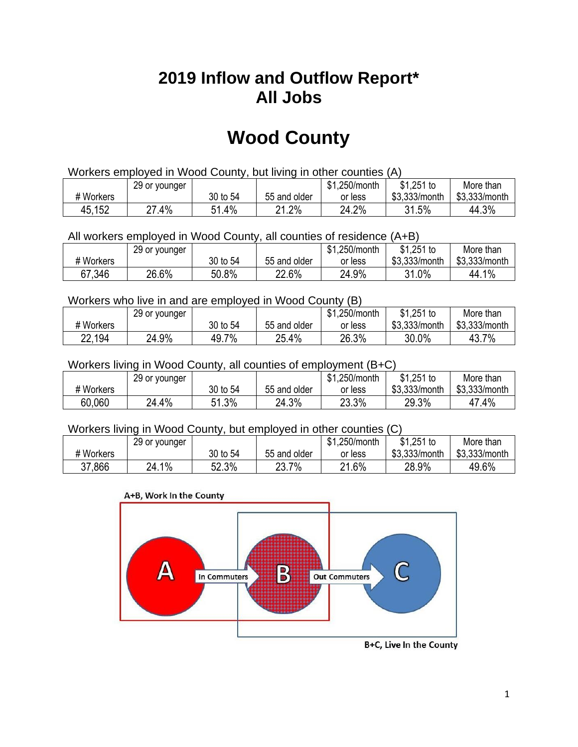## **2019 Inflow and Outflow Report\* All Jobs**

# **Wood County**

| Workers employed in Wood County, but living in other counties (A) |                                                            |          |              |         |               |               |  |  |  |
|-------------------------------------------------------------------|------------------------------------------------------------|----------|--------------|---------|---------------|---------------|--|--|--|
|                                                                   | $$1,251$ to<br>\$1.250/month<br>29 or younger<br>More than |          |              |         |               |               |  |  |  |
| # Workers                                                         |                                                            | 30 to 54 | 55 and older | or less | \$3.333/month | \$3,333/month |  |  |  |
| 45,152                                                            | 27.4%                                                      | 51.4%    | 21.2%        | 24.2%   | 31.5%         | 44.3%         |  |  |  |

All workers employed in Wood County, all counties of residence (A+B)

|           | 29 or younger |          |              | \$1,250/month | $$1,251$ to   | More than     |
|-----------|---------------|----------|--------------|---------------|---------------|---------------|
| # Workers |               | 30 to 54 | 55 and older | or less       | \$3,333/month | \$3,333/month |
| 67,346    | 26.6%         | 50.8%    | 22.6%        | 24.9%         | 31.0%         | 44.1%         |

#### Workers who live in and are employed in Wood County (B)

|           | 29 or younger |          |              | \$1,250/month | $$1,251$ to   | More than     |
|-----------|---------------|----------|--------------|---------------|---------------|---------------|
| # Workers |               | 30 to 54 | 55 and older | or less       | \$3,333/month | \$3,333/month |
| 22,194    | 24.9%         | 49.7%    | 25.4%        | 26.3%         | 30.0%         | 43.7%         |

#### Workers living in Wood County, all counties of employment (B+C)

|           | 29 or younger |          |              | \$1,250/month | \$1,251 to    | More than     |
|-----------|---------------|----------|--------------|---------------|---------------|---------------|
| # Workers |               | 30 to 54 | 55 and older | or less       | \$3,333/month | \$3,333/month |
| 60,060    | 24.4%         | 51.3%    | 24.3%        | 23.3%         | 29.3%         | 47.4%         |

#### Workers living in Wood County, but employed in other counties (C)

|           | 29 or younger |          |                   | \$1,250/month | $$1,251$ to   | More than     |
|-----------|---------------|----------|-------------------|---------------|---------------|---------------|
| # Workers |               | 30 to 54 | 55 and older      | or less       | \$3,333/month | \$3,333/month |
| 37,866    | 1%<br>24.1    | 52.3%    | 7%<br>ר ר<br>20.I | 21.6%         | 28.9%         | 49.6%         |

#### A+B, Work In the County